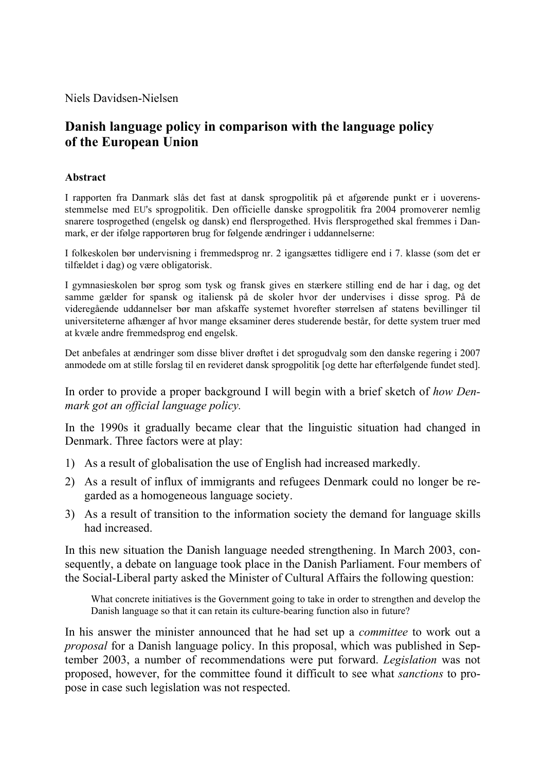Niels Davidsen-Nielsen

# **Danish language policy in comparison with the language policy of the European Union**

#### **Abstract**

I rapporten fra Danmark slås det fast at dansk sprogpolitik på et afgørende punkt er i uoverensstemmelse med EU's sprogpolitik. Den officielle danske sprogpolitik fra 2004 promoverer nemlig snarere tosprogethed (engelsk og dansk) end flersprogethed. Hvis flersprogethed skal fremmes i Danmark, er der ifølge rapportøren brug for følgende ændringer i uddannelserne:

I folkeskolen bør undervisning i fremmedsprog nr. 2 igangsættes tidligere end i 7. klasse (som det er tilfældet i dag) og være obligatorisk.

I gymnasieskolen bør sprog som tysk og fransk gives en stærkere stilling end de har i dag, og det samme gælder for spansk og italiensk på de skoler hvor der undervises i disse sprog. På de videregående uddannelser bør man afskaffe systemet hvorefter størrelsen af statens bevillinger til universiteterne afhænger af hvor mange eksaminer deres studerende består, for dette system truer med at kvæle andre fremmedsprog end engelsk.

Det anbefales at ændringer som disse bliver drøftet i det sprogudvalg som den danske regering i 2007 anmodede om at stille forslag til en revideret dansk sprogpolitik [og dette har efterfølgende fundet sted].

In order to provide a proper background I will begin with a brief sketch of *how Denmark got an official language policy.* 

In the 1990s it gradually became clear that the linguistic situation had changed in Denmark. Three factors were at play:

- 1) As a result of globalisation the use of English had increased markedly.
- 2) As a result of influx of immigrants and refugees Denmark could no longer be regarded as a homogeneous language society.
- 3) As a result of transition to the information society the demand for language skills had increased.

In this new situation the Danish language needed strengthening. In March 2003, consequently, a debate on language took place in the Danish Parliament. Four members of the Social-Liberal party asked the Minister of Cultural Affairs the following question:

What concrete initiatives is the Government going to take in order to strengthen and develop the Danish language so that it can retain its culture-bearing function also in future?

In his answer the minister announced that he had set up a *committee* to work out a *proposal* for a Danish language policy. In this proposal, which was published in September 2003, a number of recommendations were put forward. *Legislation* was not proposed, however, for the committee found it difficult to see what *sanctions* to propose in case such legislation was not respected.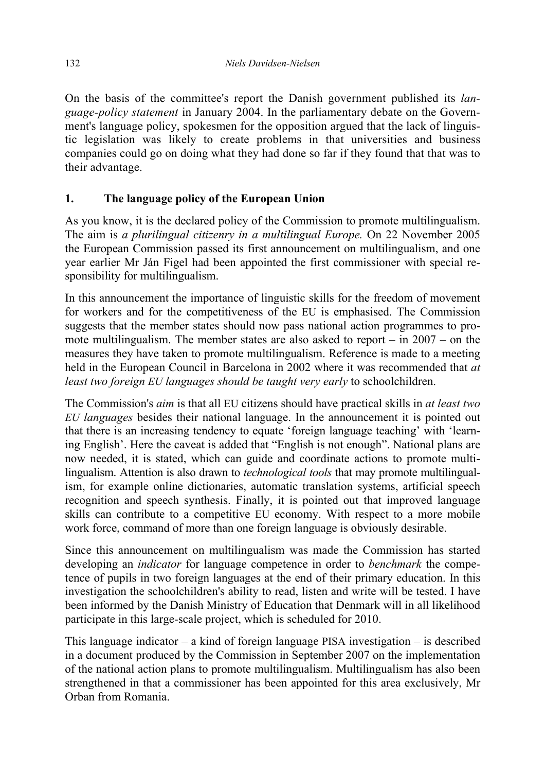On the basis of the committee's report the Danish government published its *language-policy statement* in January 2004. In the parliamentary debate on the Government's language policy, spokesmen for the opposition argued that the lack of linguistic legislation was likely to create problems in that universities and business companies could go on doing what they had done so far if they found that that was to their advantage.

### **1. The language policy of the European Union**

As you know, it is the declared policy of the Commission to promote multilingualism. The aim is *a plurilingual citizenry in a multilingual Europe.* On 22 November 2005 the European Commission passed its first announcement on multilingualism, and one year earlier Mr Ján Figel had been appointed the first commissioner with special responsibility for multilingualism.

In this announcement the importance of linguistic skills for the freedom of movement for workers and for the competitiveness of the EU is emphasised. The Commission suggests that the member states should now pass national action programmes to promote multilingualism. The member states are also asked to report – in 2007 – on the measures they have taken to promote multilingualism. Reference is made to a meeting held in the European Council in Barcelona in 2002 where it was recommended that *at least two foreign EU languages should be taught very early* to schoolchildren.

The Commission's *aim* is that all EU citizens should have practical skills in *at least two EU languages* besides their national language. In the announcement it is pointed out that there is an increasing tendency to equate 'foreign language teaching' with 'learning English'. Here the caveat is added that "English is not enough". National plans are now needed, it is stated, which can guide and coordinate actions to promote multilingualism. Attention is also drawn to *technological tools* that may promote multilingualism, for example online dictionaries, automatic translation systems, artificial speech recognition and speech synthesis. Finally, it is pointed out that improved language skills can contribute to a competitive EU economy. With respect to a more mobile work force, command of more than one foreign language is obviously desirable.

Since this announcement on multilingualism was made the Commission has started developing an *indicator* for language competence in order to *benchmark* the competence of pupils in two foreign languages at the end of their primary education. In this investigation the schoolchildren's ability to read, listen and write will be tested. I have been informed by the Danish Ministry of Education that Denmark will in all likelihood participate in this large-scale project, which is scheduled for 2010.

This language indicator – a kind of foreign language PISA investigation – is described in a document produced by the Commission in September 2007 on the implementation of the national action plans to promote multilingualism. Multilingualism has also been strengthened in that a commissioner has been appointed for this area exclusively, Mr Orban from Romania.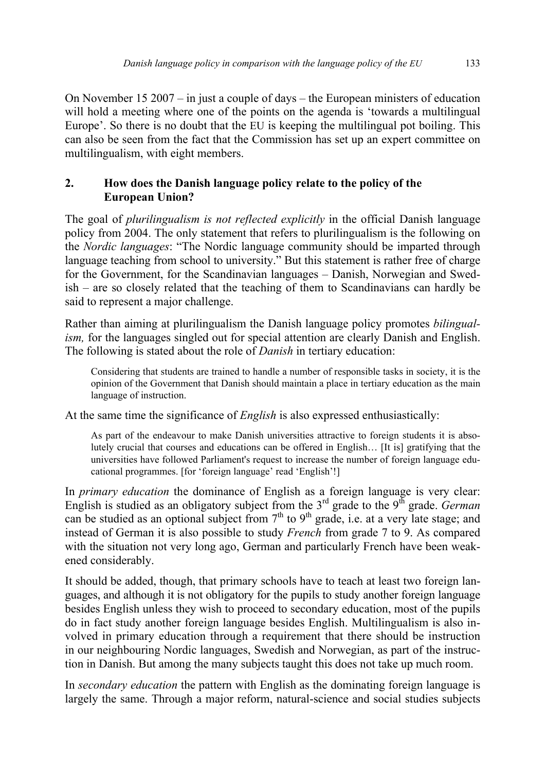On November 15 2007 – in just a couple of days – the European ministers of education will hold a meeting where one of the points on the agenda is 'towards a multilingual Europe'. So there is no doubt that the EU is keeping the multilingual pot boiling. This can also be seen from the fact that the Commission has set up an expert committee on multilingualism, with eight members.

## **2. How does the Danish language policy relate to the policy of the European Union?**

The goal of *plurilingualism is not reflected explicitly* in the official Danish language policy from 2004. The only statement that refers to plurilingualism is the following on the *Nordic languages*: "The Nordic language community should be imparted through language teaching from school to university." But this statement is rather free of charge for the Government, for the Scandinavian languages – Danish, Norwegian and Swedish – are so closely related that the teaching of them to Scandinavians can hardly be said to represent a major challenge.

Rather than aiming at plurilingualism the Danish language policy promotes *bilingualism,* for the languages singled out for special attention are clearly Danish and English. The following is stated about the role of *Danish* in tertiary education:

Considering that students are trained to handle a number of responsible tasks in society, it is the opinion of the Government that Danish should maintain a place in tertiary education as the main language of instruction.

At the same time the significance of *English* is also expressed enthusiastically:

As part of the endeavour to make Danish universities attractive to foreign students it is absolutely crucial that courses and educations can be offered in English… [It is] gratifying that the universities have followed Parliament's request to increase the number of foreign language educational programmes. [for 'foreign language' read 'English'!]

In *primary education* the dominance of English as a foreign language is very clear: English is studied as an obligatory subject from the 3<sup>rd</sup> grade to the 9<sup>th</sup> grade. *German* can be studied as an optional subject from  $7<sup>th</sup>$  to  $9<sup>th</sup>$  grade, i.e. at a very late stage; and instead of German it is also possible to study *French* from grade 7 to 9. As compared with the situation not very long ago, German and particularly French have been weakened considerably.

It should be added, though, that primary schools have to teach at least two foreign languages, and although it is not obligatory for the pupils to study another foreign language besides English unless they wish to proceed to secondary education, most of the pupils do in fact study another foreign language besides English. Multilingualism is also involved in primary education through a requirement that there should be instruction in our neighbouring Nordic languages, Swedish and Norwegian, as part of the instruction in Danish. But among the many subjects taught this does not take up much room.

In *secondary education* the pattern with English as the dominating foreign language is largely the same. Through a major reform, natural-science and social studies subjects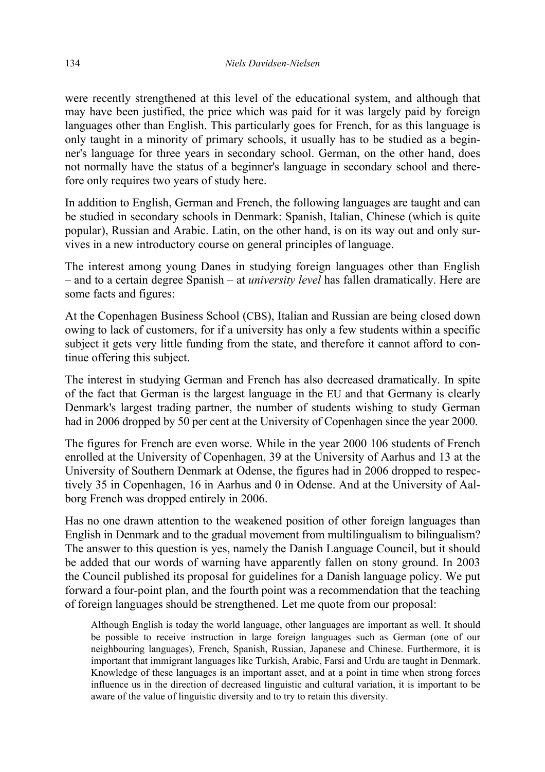were recently strengthened at this level of the educational system, and although that may have been justified, the price which was paid for it was largely paid by foreign languages other than English. This particularly goes for French, for as this language is only taught in a minority of primary schools, it usually has to be studied as a beginner's language for three years in secondary school. German, on the other hand, does not normally have the status of a beginner's language in secondary school and therefore only requires two years of study here.

In addition to English, German and French, the following languages are taught and can be studied in secondary schools in Denmark: Spanish, Italian, Chinese (which is quite popular), Russian and Arabic. Latin, on the other hand, is on its way out and only survives in a new introductory course on general principles of language.

The interest among young Danes in studying foreign languages other than English – and to a certain degree Spanish – at *university level* has fallen dramatically. Here are some facts and figures:

At the Copenhagen Business School (CBS), Italian and Russian are being closed down owing to lack of customers, for if a university has only a few students within a specific subject it gets very little funding from the state, and therefore it cannot afford to continue offering this subject.

The interest in studying German and French has also decreased dramatically. In spite of the fact that German is the largest language in the EU and that Germany is clearly Denmark's largest trading partner, the number of students wishing to study German had in 2006 dropped by 50 per cent at the University of Copenhagen since the year 2000.

The figures for French are even worse. While in the year 2000 106 students of French enrolled at the University of Copenhagen, 39 at the University of Aarhus and 13 at the University of Southern Denmark at Odense, the figures had in 2006 dropped to respectively 35 in Copenhagen, 16 in Aarhus and 0 in Odense. And at the University of Aalborg French was dropped entirely in 2006.

Has no one drawn attention to the weakened position of other foreign languages than English in Denmark and to the gradual movement from multilingualism to bilingualism? The answer to this question is yes, namely the Danish Language Council, but it should be added that our words of warning have apparently fallen on stony ground. In 2003 the Council published its proposal for guidelines for a Danish language policy. We put forward a four-point plan, and the fourth point was a recommendation that the teaching of foreign languages should be strengthened. Let me quote from our proposal:

Although English is today the world language, other languages are important as well. It should be possible to receive instruction in large foreign languages such as German (one of our neighbouring languages), French, Spanish, Russian, Japanese and Chinese. Furthermore, it is important that immigrant languages like Turkish, Arabic, Farsi and Urdu are taught in Denmark. Knowledge of these languages is an important asset, and at a point in time when strong forces influence us in the direction of decreased linguistic and cultural variation, it is important to be aware of the value of linguistic diversity and to try to retain this diversity.